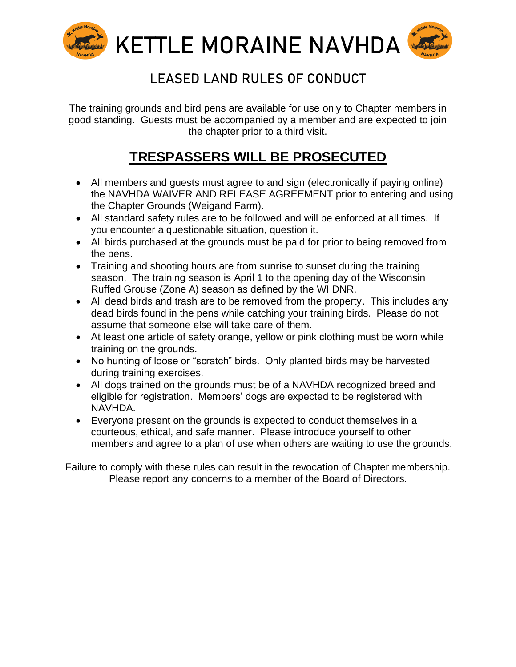

## **LEASED LAND RULES OF CONDUCT**

The training grounds and bird pens are available for use only to Chapter members in good standing. Guests must be accompanied by a member and are expected to join the chapter prior to a third visit.

## **TRESPASSERS WILL BE PROSECUTED**

- All members and guests must agree to and sign (electronically if paying online) the NAVHDA WAIVER AND RELEASE AGREEMENT prior to entering and using the Chapter Grounds (Weigand Farm).
- All standard safety rules are to be followed and will be enforced at all times. If you encounter a questionable situation, question it.
- All birds purchased at the grounds must be paid for prior to being removed from the pens.
- Training and shooting hours are from sunrise to sunset during the training season. The training season is April 1 to the opening day of the Wisconsin Ruffed Grouse (Zone A) season as defined by the WI DNR.
- All dead birds and trash are to be removed from the property. This includes any dead birds found in the pens while catching your training birds. Please do not assume that someone else will take care of them.
- At least one article of safety orange, yellow or pink clothing must be worn while training on the grounds.
- No hunting of loose or "scratch" birds. Only planted birds may be harvested during training exercises.
- All dogs trained on the grounds must be of a NAVHDA recognized breed and eligible for registration. Members' dogs are expected to be registered with NAVHDA.
- Everyone present on the grounds is expected to conduct themselves in a courteous, ethical, and safe manner. Please introduce yourself to other members and agree to a plan of use when others are waiting to use the grounds.

Failure to comply with these rules can result in the revocation of Chapter membership. Please report any concerns to a member of the Board of Directors.